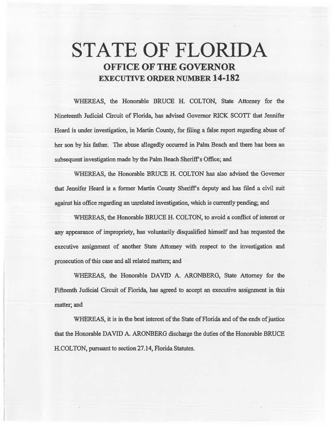# **STATE OF FLORIDA OFFICE OF THE GOVERNOR EXECUTIVE ORDER NUMBER 14-182**

WHEREAS, the Honorable BRUCE H. COLTON, State Attorney for the Nineteenth. Judicial Circuit of Florida, has advised Governor RICK SCOTI that Jennifer Heard is under investigation, in Martin County, for filing a false report regarding abuse of her son by his father. The abuse allegedly occurred in Palm Beach and there has been an subsequent investigation made by the Palm Beach Sheriff's Office; and

WHEREAS, the Honorable BRUCE H. COLTON has also advised the Governor that Jennifer Heard is a former Martin. County Sheriff's deputy and has filed a civil suit against his office regarding an unrelated investigation, which is currently pending; and

WHEREAS, the Honorable BRUCE H. COLTON, to avoid a conflict of interest or any appearance of impropriety, has voluntarily disqualified himself and has requested the executive assignment of another State Attorney with respect to the investigation and prosecution of this case and all related matters; and

WHEREAS, the Honorable DAVID A. ARONBERG, State Attorney for the Fifteenth Judicial Circuit of Florida, has agreed to accept an executive assignment in this matter; and

WHEREAS, it is in the best interest of the State of Florida and of the ends of justice that the Honorable DAVID A. ARONBERG discharge the duties of the Honorable BRUCE H.COLTON, pursuant to section 27.14, Florida Statutes.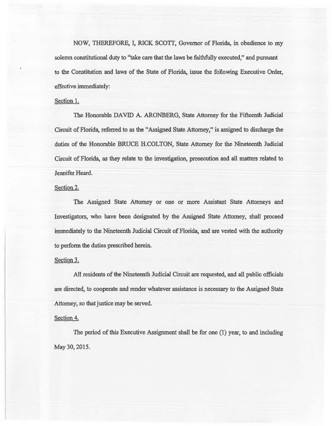NOW, THEREFORE, I, RICK SCOTT, Governor of Florida, in obedience to my solemn constitutional duty to "take care that the laws be faithfully executed," and pursuant to the Constitution and laws of the State of Florida, issue the following Executive Order, effective immediately:

## Section 1.

The Honorable DAVID A. ARONBERG, State Attorney for the Fifteenth Judicial Circuit of Florida, referred to as the "Assigned State Attorney," is assigned to discharge the duties of the Honorable BRUCE H.COLTON, State Attorney for the Nineteenth Judicial Circuit of Florida, as they relate to the investigation, prosecution and all matters related to Jennifer Heard.

## Section<sub>2.</sub>

The Assigned State Attorney or one or more Assistant State Attorneys and Investigators, who have been designated by the Assigned State Attorney, shall proceed immediately to the Nineteenth Judicial Circuit of Florida, and are vested with the authority to perfonn the duties prescribed herein.

### Section 3.

All residents of the Nineteenth Judicial Circuit are requested, and all public officials are directed, to cooperate and render whatever assistance is necessary to the Assigned State Attorney, so that justice may be served.

### Section 4.

The period of this Executive Assignment shali be for one (1) year, to and including May 30, 2015.